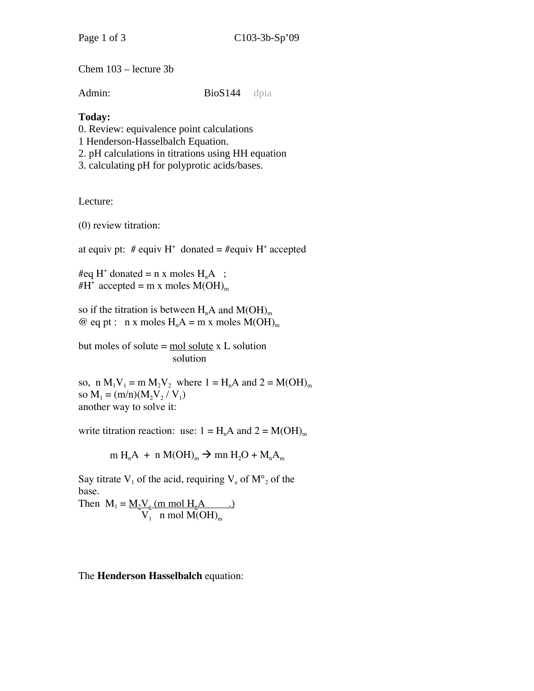Chem 103 – lecture 3b

Admin: BioS144 dpia

## **Today:**

0. Review: equivalence point calculations

1 Henderson-Hasselbalch Equation.

2. pH calculations in titrations using HH equation

3. calculating pH for polyprotic acids/bases.

Lecture:

(0) review titration:

at equiv pt:  $#$  equiv  $H^+$  donated =  $#$ equiv  $H^+$  accepted

#eq H<sup>+</sup> donated = n x moles  $H_nA$  ; #H<sup>+</sup> accepted = m x moles  $M(OH)_{m}$ 

so if the titration is between  $H_nA$  and  $M(OH)_{m}$ @ eq pt : n x moles  $H_nA = m x$  moles  $M(OH)_m$ 

but moles of solute  $=$  mol solute  $x$  L solution solution

so, n  $M_1V_1 = m M_2V_2$  where  $1 = H_nA$  and  $2 = M(OH)_m$ so  $M_1 = (m/n)(M_2V_2/V_1)$ another way to solve it:

write titration reaction: use:  $1 = H_nA$  and  $2 = M(OH)_m$ 

$$
m H_nA + n M(OH)_m \rightarrow mn H_2O + M_nA_m
$$

Say titrate  $V_1$  of the acid, requiring  $V_e$  of  $M^{\circ}$  of the base.

Then  $M_1 = M_2V_e$  (m mol  $H_nA$  .)  $V_1$  n mol  $M(OH)_{m}$ 

The **Henderson Hasselbalch** equation: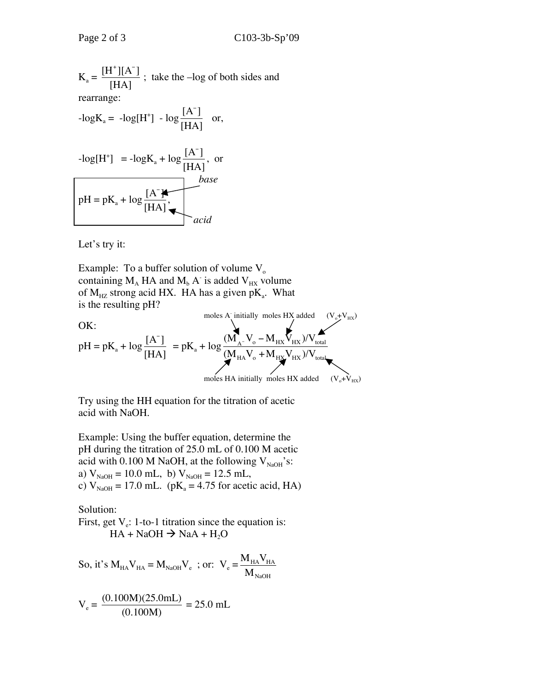$$
K_a = \frac{[H^*][A^-]}{[HA]}
$$
; take the -log of both sides and  
rearrange:  
-logK<sub>a</sub> = -log[H<sup>+</sup>] - log $\frac{[A^-]}{[HA]}$  or,  
-log[H<sup>+</sup>] = -logK<sub>a</sub> + log $\frac{[A^-]}{[HA]}$ , or  
base  
ph = pK<sub>a</sub> + log $\frac{[A^-]}{[HA]}$ ,  
accid

Let's try it:

Example: To a buffer solution of volume  $V_0$ containing  $M_A$  HA and  $M_b$  A<sup>-</sup> is added  $V_{HX}$  volume of  $M_{HZ}$  strong acid HX. HA has a given p $K_a$ . What is the resulting pH?

$$
OK:\n
$$
pH = pK_a + \log \frac{[A^-]}{[HA]} = pK_a + \log \frac{(M_{A^-}V_o - M_{HX}V_{HX})/V_{total}}{(M_{HA}V_o + M_{HX}V_{HX})/V_{total}}
$$
\n
$$
moles HA initially moles HX added (V_o + V_{HX})
$$
\n
$$
(V_o + V_{HX})
$$
\n
$$
(V_o + V_{HX})
$$
\n
$$
moles HA initially moles HX added (V_o + V_{HX})
$$
$$

Try using the HH equation for the titration of acetic acid with NaOH.

Example: Using the buffer equation, determine the pH during the titration of 25.0 mL of 0.100 M acetic acid with 0.100 M NaOH, at the following  $V_{NaOH}$ 's: a)  $V_{NaOH} = 10.0$  mL, b)  $V_{NaOH} = 12.5$  mL, c)  $V_{NaOH} = 17.0$  mL. (pK<sub>a</sub> = 4.75 for acetic acid, HA)

Solution:

First, get  $V_e$ : 1-to-1 titration since the equation is:  $HA + NaOH \rightarrow NaA + H<sub>2</sub>O$ 

So, it's 
$$
M_{HA}V_{HA} = M_{NaOH}V_e
$$
; or:  $V_e = \frac{M_{HA}V_{HA}}{M_{NaOH}}$ 

$$
V_e = \frac{(0.100M)(25.0mL)}{(0.100M)} = 25.0 mL
$$